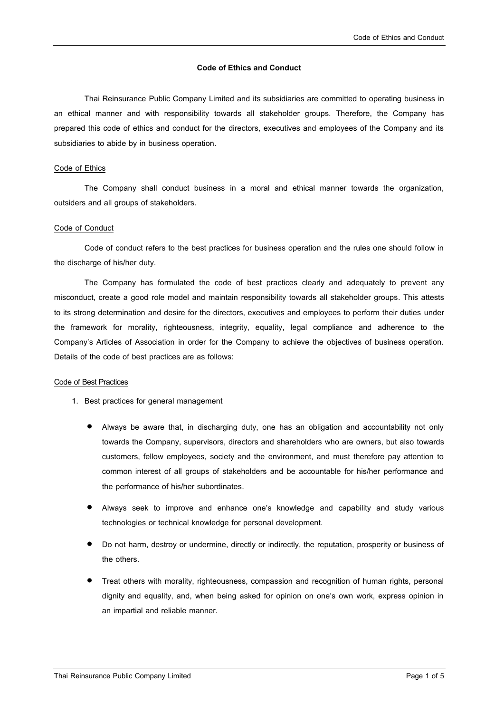#### **Code of Ethics and Conduct**

Thai Reinsurance Public Company Limited and its subsidiaries are committed to operating business in an ethical manner and with responsibility towards all stakeholder groups. Therefore, the Company has prepared this code of ethics and conduct for the directors, executives and employees of the Company and its subsidiaries to abide by in business operation.

#### Code of Ethics

The Company shall conduct business in a moral and ethical manner towards the organization, outsiders and all groups of stakeholders.

## Code of Conduct

Code of conduct refers to the best practices for business operation and the rules one should follow in the discharge of his/her duty.

The Company has formulated the code of best practices clearly and adequately to prevent any misconduct, create a good role model and maintain responsibility towards all stakeholder groups. This attests to its strong determination and desire for the directors, executives and employees to perform their duties under the framework for morality, righteousness, integrity, equality, legal compliance and adherence to the Company's Articles of Association in order for the Company to achieve the objectives of business operation. Details of the code of best practices are as follows:

#### Code of Best Practices

- 1. Best practices for general management
	- Always be aware that, in discharging duty, one has an obligation and accountability not only towards the Company, supervisors, directors and shareholders who are owners, but also towards customers, fellow employees, society and the environment, and must therefore pay attention to common interest of all groups of stakeholders and be accountable for his/her performance and the performance of his/her subordinates.
	- Always seek to improve and enhance one's knowledge and capability and study various technologies or technical knowledge for personal development.
	- Do not harm, destroy or undermine, directly or indirectly, the reputation, prosperity or business of the others.
	- Treat others with morality, righteousness, compassion and recognition of human rights, personal dignity and equality, and, when being asked for opinion on one's own work, express opinion in an impartial and reliable manner.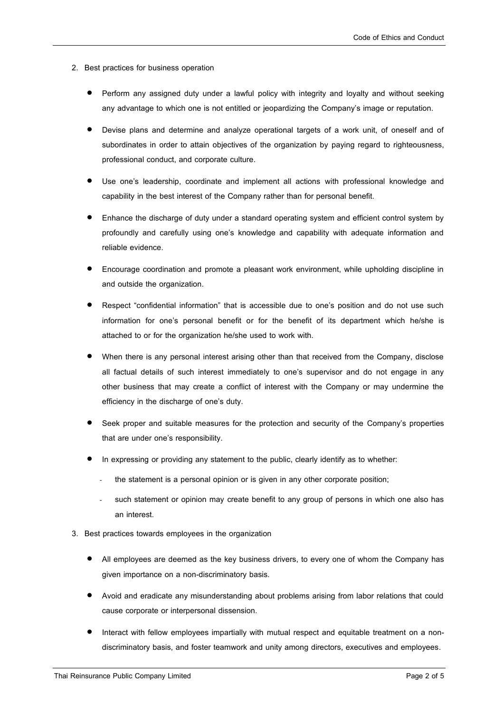- 2. Best practices for business operation
	- Perform any assigned duty under a lawful policy with integrity and loyalty and without seeking any advantage to which one is not entitled or jeopardizing the Company's image or reputation.
	- Devise plans and determine and analyze operational targets of a work unit, of oneself and of subordinates in order to attain objectives of the organization by paying regard to righteousness, professional conduct, and corporate culture.
	- Use one's leadership, coordinate and implement all actions with professional knowledge and capability in the best interest of the Company rather than for personal benefit.
	- Enhance the discharge of duty under a standard operating system and efficient control system by profoundly and carefully using one's knowledge and capability with adequate information and reliable evidence.
	- Encourage coordination and promote a pleasant work environment, while upholding discipline in and outside the organization.
	- Respect "confidential information" that is accessible due to one's position and do not use such information for one's personal benefit or for the benefit of its department which he/she is attached to or for the organization he/she used to work with.
	- When there is any personal interest arising other than that received from the Company, disclose all factual details of such interest immediately to one's supervisor and do not engage in any other business that may create a conflict of interest with the Company or may undermine the efficiency in the discharge of one's duty.
	- Seek proper and suitable measures for the protection and security of the Company's properties that are under one's responsibility.
	- In expressing or providing any statement to the public, clearly identify as to whether:
		- the statement is a personal opinion or is given in any other corporate position;
		- such statement or opinion may create benefit to any group of persons in which one also has an interest.
- 3. Best practices towards employees in the organization
	- All employees are deemed as the key business drivers, to every one of whom the Company has given importance on a non-discriminatory basis.
	- Avoid and eradicate any misunderstanding about problems arising from labor relations that could cause corporate or interpersonal dissension.
	- Interact with fellow employees impartially with mutual respect and equitable treatment on a nondiscriminatory basis, and foster teamwork and unity among directors, executives and employees.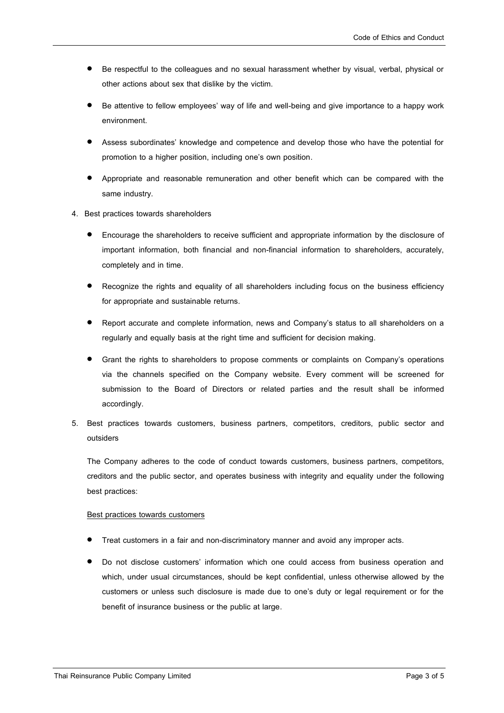- Be respectful to the colleagues and no sexual harassment whether by visual, verbal, physical or other actions about sex that dislike by the victim.
- Be attentive to fellow employees' way of life and well-being and give importance to a happy work environment.
- Assess subordinates' knowledge and competence and develop those who have the potential for promotion to a higher position, including one's own position.
- Appropriate and reasonable remuneration and other benefit which can be compared with the same industry.
- 4. Best practices towards shareholders
	- Encourage the shareholders to receive sufficient and appropriate information by the disclosure of important information, both financial and non-financial information to shareholders, accurately, completely and in time.
	- Recognize the rights and equality of all shareholders including focus on the business efficiency for appropriate and sustainable returns.
	- Report accurate and complete information, news and Company's status to all shareholders on a regularly and equally basis at the right time and sufficient for decision making.
	- Grant the rights to shareholders to propose comments or complaints on Company's operations via the channels specified on the Company website. Every comment will be screened for submission to the Board of Directors or related parties and the result shall be informed accordingly.
- 5. Best practices towards customers, business partners, competitors, creditors, public sector and outsiders

The Company adheres to the code of conduct towards customers, business partners, competitors, creditors and the public sector, and operates business with integrity and equality under the following best practices:

#### Best practices towards customers

- Treat customers in a fair and non-discriminatory manner and avoid any improper acts.
- Do not disclose customers' information which one could access from business operation and which, under usual circumstances, should be kept confidential, unless otherwise allowed by the customers or unless such disclosure is made due to one's duty or legal requirement or for the benefit of insurance business or the public at large.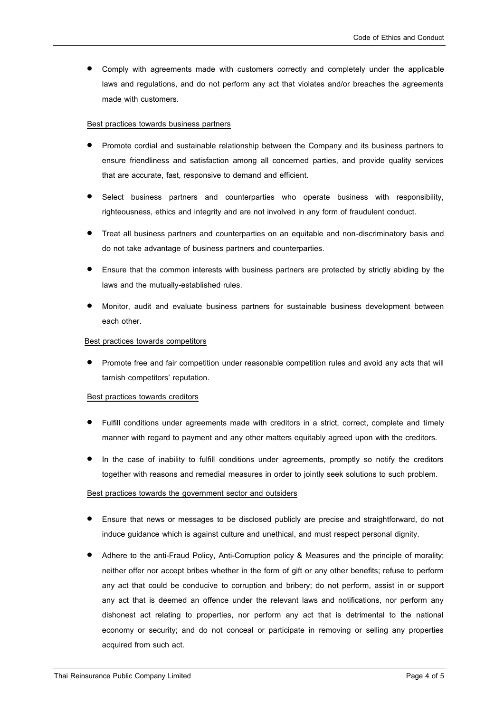Comply with agreements made with customers correctly and completely under the applicable laws and regulations, and do not perform any act that violates and/or breaches the agreements made with customers.

### Best practices towards business partners

- Promote cordial and sustainable relationship between the Company and its business partners to ensure friendliness and satisfaction among all concerned parties, and provide quality services that are accurate, fast, responsive to demand and efficient.
- Select business partners and counterparties who operate business with responsibility, righteousness, ethics and integrity and are not involved in any form of fraudulent conduct.
- Treat all business partners and counterparties on an equitable and non-discriminatory basis and do not take advantage of business partners and counterparties.
- Ensure that the common interests with business partners are protected by strictly abiding by the laws and the mutually-established rules.
- Monitor, audit and evaluate business partners for sustainable business development between each other.

# Best practices towards competitors

 Promote free and fair competition under reasonable competition rules and avoid any acts that will tarnish competitors' reputation.

#### Best practices towards creditors

- Fulfill conditions under agreements made with creditors in a strict, correct, complete and timely manner with regard to payment and any other matters equitably agreed upon with the creditors.
- In the case of inability to fulfill conditions under agreements, promptly so notify the creditors together with reasons and remedial measures in order to jointly seek solutions to such problem.

#### Best practices towards the government sector and outsiders

- Ensure that news or messages to be disclosed publicly are precise and straightforward, do not induce guidance which is against culture and unethical, and must respect personal dignity.
- Adhere to the anti-Fraud Policy, Anti-Corruption policy & Measures and the principle of morality; neither offer nor accept bribes whether in the form of gift or any other benefits; refuse to perform any act that could be conducive to corruption and bribery; do not perform, assist in or support any act that is deemed an offence under the relevant laws and notifications, nor perform any dishonest act relating to properties, nor perform any act that is detrimental to the national economy or security; and do not conceal or participate in removing or selling any properties acquired from such act.